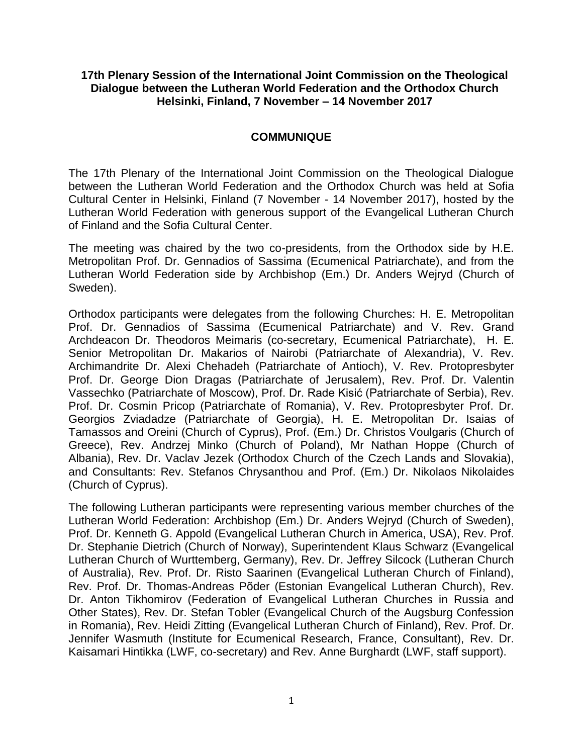## **17th Plenary Session of the International Joint Commission on the Theological Dialogue between the Lutheran World Federation and the Orthodox Church Helsinki, Finland, 7 November – 14 November 2017**

## **COMMUNIQUE**

The 17th Plenary of the International Joint Commission on the Theological Dialogue between the Lutheran World Federation and the Orthodox Church was held at Sofia Cultural Center in Helsinki, Finland (7 November - 14 November 2017), hosted by the Lutheran World Federation with generous support of the Evangelical Lutheran Church of Finland and the Sofia Cultural Center.

The meeting was chaired by the two co-presidents, from the Orthodox side by H.E. Metropolitan Prof. Dr. Gennadios of Sassima (Ecumenical Patriarchate), and from the Lutheran World Federation side by Archbishop (Em.) Dr. Anders Wejryd (Church of Sweden).

Orthodox participants were delegates from the following Churches: H. E. Metropolitan Prof. Dr. Gennadios of Sassima (Ecumenical Patriarchate) and V. Rev. Grand Archdeacon Dr. Theodoros Meimaris (co-secretary, Ecumenical Patriarchate), H. E. Senior Metropolitan Dr. Makarios of Nairobi (Patriarchate of Alexandria), V. Rev. Archimandrite Dr. Alexi Chehadeh (Patriarchate of Antioch), V. Rev. Protopresbyter Prof. Dr. George Dion Dragas (Patriarchate of Jerusalem), Rev. Prof. Dr. Valentin Vassechko (Patriarchate of Moscow), Prof. Dr. Rade Kisić (Patriarchate of Serbia), Rev. Prof. Dr. Cosmin Pricop (Patriarchate of Romania), V. Rev. Protopresbyter Prof. Dr. Georgios Zviadadze (Patriarchate of Georgia), H. E. Metropolitan Dr. Isaias of Tamassos and Oreini (Church of Cyprus), Prof. (Em.) Dr. Christos Voulgaris (Church of Greece), Rev. Andrzej Minko (Church of Poland), Mr Nathan Hoppe (Church of Albania), Rev. Dr. Vaclav Jezek (Orthodox Church of the Czech Lands and Slovakia), and Consultants: Rev. Stefanos Chrysanthou and Prof. (Em.) Dr. Nikolaos Nikolaides (Church of Cyprus).

The following Lutheran participants were representing various member churches of the Lutheran World Federation: Archbishop (Em.) Dr. Anders Wejryd (Church of Sweden), Prof. Dr. Kenneth G. Appold (Evangelical Lutheran Church in America, USA), Rev. Prof. Dr. Stephanie Dietrich (Church of Norway), Superintendent Klaus Schwarz (Evangelical Lutheran Church of Wurttemberg, Germany), Rev. Dr. Jeffrey Silcock (Lutheran Church of Australia), Rev. Prof. Dr. Risto Saarinen (Evangelical Lutheran Church of Finland), Rev. Prof. Dr. Thomas-Andreas Põder (Estonian Evangelical Lutheran Church), Rev. Dr. Anton Tikhomirov (Federation of Evangelical Lutheran Churches in Russia and Other States), Rev. Dr. Stefan Tobler (Evangelical Church of the Augsburg Confession in Romania), Rev. Heidi Zitting (Evangelical Lutheran Church of Finland), Rev. Prof. Dr. Jennifer Wasmuth (Institute for Ecumenical Research, France, Consultant), Rev. Dr. Kaisamari Hintikka (LWF, co-secretary) and Rev. Anne Burghardt (LWF, staff support).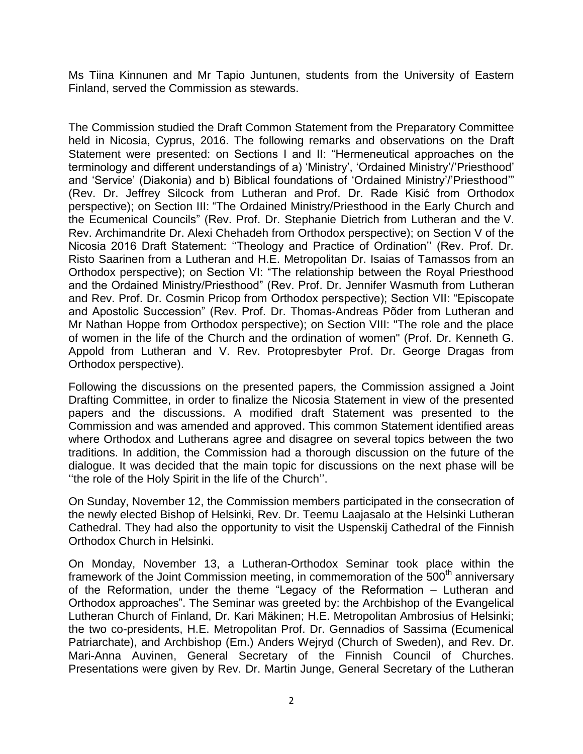Ms Tiina Kinnunen and Mr Tapio Juntunen, students from the University of Eastern Finland, served the Commission as stewards.

The Commission studied the Draft Common Statement from the Preparatory Committee held in Nicosia, Cyprus, 2016. The following remarks and observations on the Draft Statement were presented: on Sections I and II: "Hermeneutical approaches on the terminology and different understandings of a) 'Ministry', 'Ordained Ministry'/'Priesthood' and 'Service' (Diakonia) and b) Biblical foundations of 'Ordained Ministry'/'Priesthood'" (Rev. Dr. Jeffrey Silcock from Lutheran and Prof. Dr. Rade Kisić from Orthodox perspective); on Section III: "The Ordained Ministry/Priesthood in the Early Church and the Ecumenical Councils" (Rev. Prof. Dr. Stephanie Dietrich from Lutheran and the V. Rev. Archimandrite Dr. Alexi Chehadeh from Orthodox perspective); on Section V of the Nicosia 2016 Draft Statement: ''Theology and Practice of Ordination'' (Rev. Prof. Dr. Risto Saarinen from a Lutheran and H.E. Metropolitan Dr. Isaias of Tamassos from an Orthodox perspective); on Section VI: "The relationship between the Royal Priesthood and the Ordained Ministry/Priesthood" (Rev. Prof. Dr. Jennifer Wasmuth from Lutheran and Rev. Prof. Dr. Cosmin Pricop from Orthodox perspective); Section VII: "Episcopate and Apostolic Succession" (Rev. Prof. Dr. Thomas-Andreas Põder from Lutheran and Mr Nathan Hoppe from Orthodox perspective); on Section VIII: "The role and the place of women in the life of the Church and the ordination of women" (Prof. Dr. Kenneth G. Appold from Lutheran and V. Rev. Protopresbyter Prof. Dr. George Dragas from Orthodox perspective).

Following the discussions on the presented papers, the Commission assigned a Joint Drafting Committee, in order to finalize the Nicosia Statement in view of the presented papers and the discussions. A modified draft Statement was presented to the Commission and was amended and approved. This common Statement identified areas where Orthodox and Lutherans agree and disagree on several topics between the two traditions. In addition, the Commission had a thorough discussion on the future of the dialogue. It was decided that the main topic for discussions on the next phase will be ''the role of the Holy Spirit in the life of the Church''.

On Sunday, November 12, the Commission members participated in the consecration of the newly elected Bishop of Helsinki, Rev. Dr. Teemu Laajasalo at the Helsinki Lutheran Cathedral. They had also the opportunity to visit the Uspenskij Cathedral of the Finnish Orthodox Church in Helsinki.

On Monday, November 13, a Lutheran-Orthodox Seminar took place within the framework of the Joint Commission meeting, in commemoration of the 500<sup>th</sup> anniversary of the Reformation, under the theme "Legacy of the Reformation – Lutheran and Orthodox approaches". The Seminar was greeted by: the Archbishop of the Evangelical Lutheran Church of Finland, Dr. Kari Mäkinen; H.E. Metropolitan Ambrosius of Helsinki; the two co-presidents, H.E. Metropolitan Prof. Dr. Gennadios of Sassima (Ecumenical Patriarchate), and Archbishop (Em.) Anders Wejryd (Church of Sweden), and Rev. Dr. Mari-Anna Auvinen, General Secretary of the Finnish Council of Churches. Presentations were given by Rev. Dr. Martin Junge, General Secretary of the Lutheran